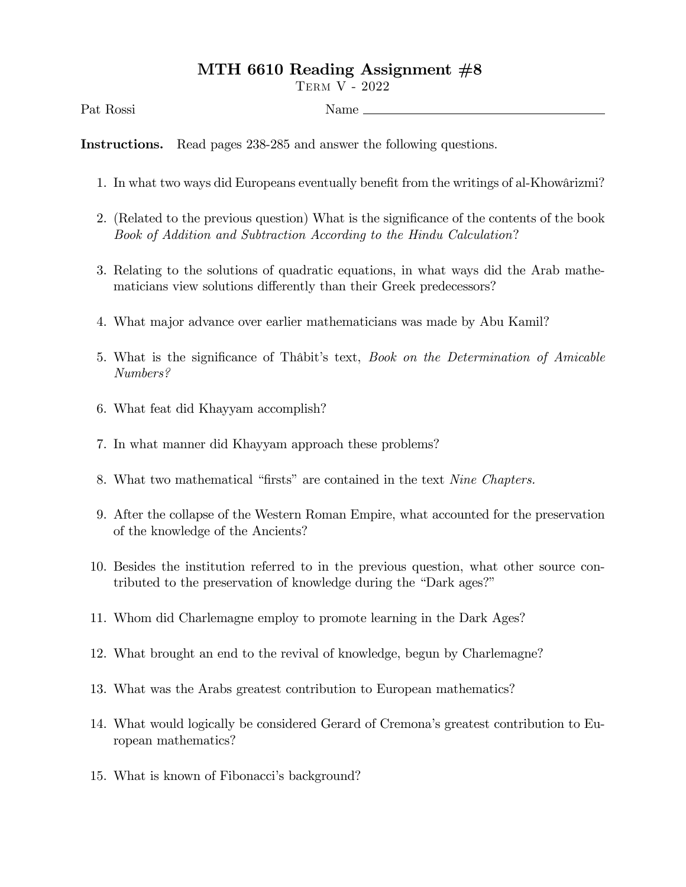## MTH 6610 Reading Assignment  $#8$

Term V - 2022

Pat Rossi Name

Instructions. Read pages 238-285 and answer the following questions.

- 1. In what two ways did Europeans eventually benefit from the writings of al-Khowârizmi?
- 2. (Related to the previous question) What is the significance of the contents of the book Book of Addition and Subtraction According to the Hindu Calculation?
- 3. Relating to the solutions of quadratic equations, in what ways did the Arab mathematicians view solutions differently than their Greek predecessors?
- 4. What major advance over earlier mathematicians was made by Abu Kamil?
- 5. What is the significance of Thâbit's text, Book on the Determination of Amicable Numbers?
- 6. What feat did Khayyam accomplish?
- 7. In what manner did Khayyam approach these problems?
- 8. What two mathematical "firsts" are contained in the text Nine Chapters.
- 9. After the collapse of the Western Roman Empire, what accounted for the preservation of the knowledge of the Ancients?
- 10. Besides the institution referred to in the previous question, what other source contributed to the preservation of knowledge during the "Dark ages?"
- 11. Whom did Charlemagne employ to promote learning in the Dark Ages?
- 12. What brought an end to the revival of knowledge, begun by Charlemagne?
- 13. What was the Arabs greatest contribution to European mathematics?
- 14. What would logically be considered Gerard of Cremonaís greatest contribution to European mathematics?
- 15. What is known of Fibonacci's background?